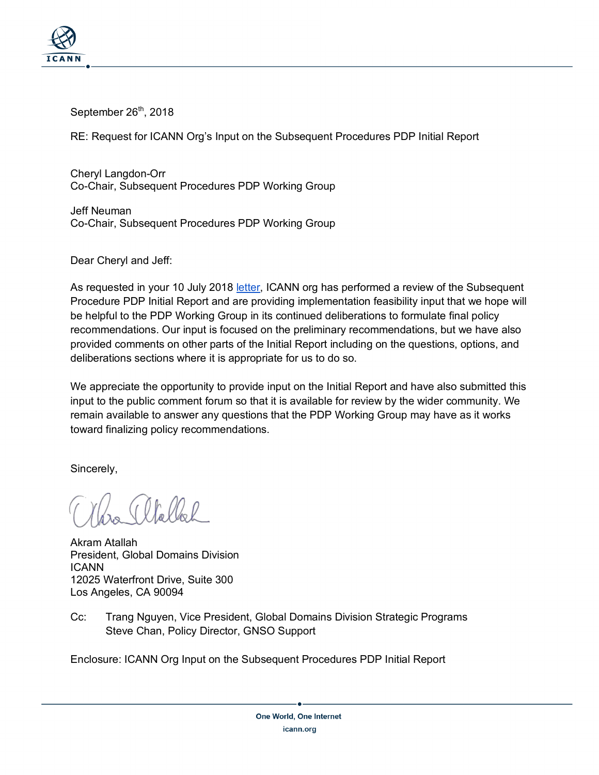

September  $26<sup>th</sup>$ , 2018

RE: Request for ICANN Org's Input on the Subsequent Procedures PDP Initial Report

Cheryl Langdon-Orr Co-Chair, Subsequent Procedures PDP Working Group

Jeff Neuman Co-Chair, Subsequent Procedures PDP Working Group

Dear Cheryl and Jeff:

As requested in your 10 July 2018 letter, ICANN org has performed a review of the Subsequent Procedure PDP Initial Report and are providing implementation feasibility input that we hope will be helpful to the PDP Working Group in its continued deliberations to formulate final policy recommendations. Our input is focused on the preliminary recommendations, but we have also provided comments on other parts of the Initial Report including on the questions, options, and deliberations sections where it is appropriate for us to do so.

We appreciate the opportunity to provide input on the Initial Report and have also submitted this input to the public comment forum so that it is available for review by the wider community. We remain available to answer any questions that the PDP Working Group may have as it works toward finalizing policy recommendations.

Sincerely,

 $\mathcal{U}_n \mathcal{U}_n \mathcal{V}$ 

Akram Atallah President, Global Domains Division ICANN 12025 Waterfront Drive, Suite 300 Los Angeles, CA 90094

Cc: Trang Nguyen, Vice President, Global Domains Division Strategic Programs Steve Chan, Policy Director, GNSO Support

Enclosure: ICANN Org Input on the Subsequent Procedures PDP Initial Report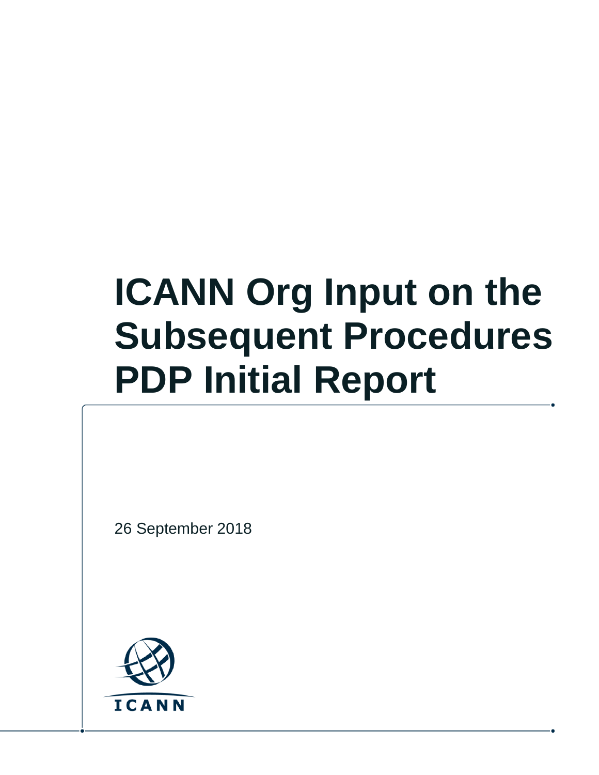# **ICANN Org Input on the Subsequent Procedures PDP Initial Report**

26 September 2018

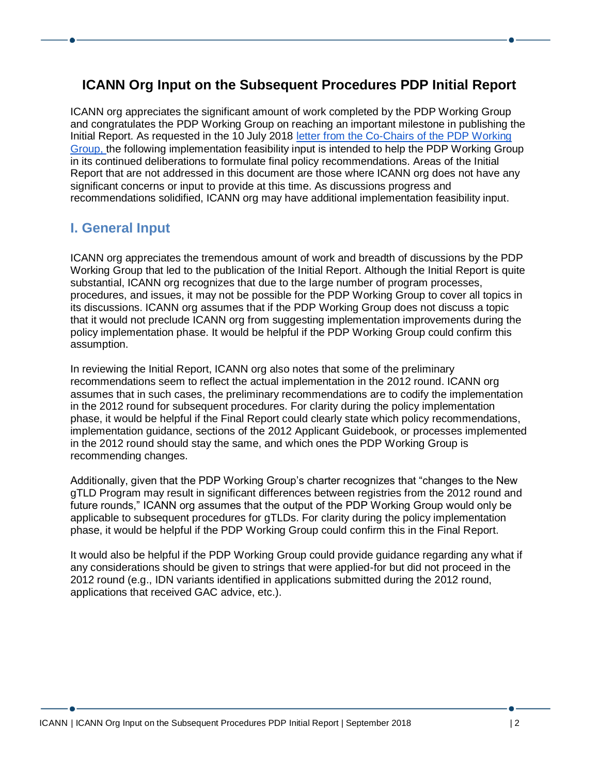## **ICANN Org Input on the Subsequent Procedures PDP Initial Report**

ICANN org appreciates the significant amount of work completed by the PDP Working Group and congratulates the PDP Working Group on reaching an important milestone in publishing the Initial Report. As requested in the 10 July 2018 [letter](https://www.icann.org/en/system/files/correspondence/langdon-orr-to-neuman-to-atallah-10jul18-en.pdf) from the Co-Chairs of the PDP Working Group, the following implementation feasibility input is intended to help the PDP Working Group in its continued deliberations to formulate final policy recommendations. Areas of the Initial Report that are not addressed in this document are those where ICANN org does not have any significant concerns or input to provide at this time. As discussions progress and recommendations solidified, ICANN org may have additional implementation feasibility input.

## **I. General Input**

ICANN org appreciates the tremendous amount of work and breadth of discussions by the PDP Working Group that led to the publication of the Initial Report. Although the Initial Report is quite substantial, ICANN org recognizes that due to the large number of program processes, procedures, and issues, it may not be possible for the PDP Working Group to cover all topics in its discussions. ICANN org assumes that if the PDP Working Group does not discuss a topic that it would not preclude ICANN org from suggesting implementation improvements during the policy implementation phase. It would be helpful if the PDP Working Group could confirm this assumption.

In reviewing the Initial Report, ICANN org also notes that some of the preliminary recommendations seem to reflect the actual implementation in the 2012 round. ICANN org assumes that in such cases, the preliminary recommendations are to codify the implementation in the 2012 round for subsequent procedures. For clarity during the policy implementation phase, it would be helpful if the Final Report could clearly state which policy recommendations, implementation guidance, sections of the 2012 Applicant Guidebook, or processes implemented in the 2012 round should stay the same, and which ones the PDP Working Group is recommending changes.

Additionally, given that the PDP Working Group's charter recognizes that "changes to the New gTLD Program may result in significant differences between registries from the 2012 round and future rounds," ICANN org assumes that the output of the PDP Working Group would only be applicable to subsequent procedures for gTLDs. For clarity during the policy implementation phase, it would be helpful if the PDP Working Group could confirm this in the Final Report.

It would also be helpful if the PDP Working Group could provide guidance regarding any what if any considerations should be given to strings that were applied-for but did not proceed in the 2012 round (e.g., IDN variants identified in applications submitted during the 2012 round, applications that received GAC advice, etc.).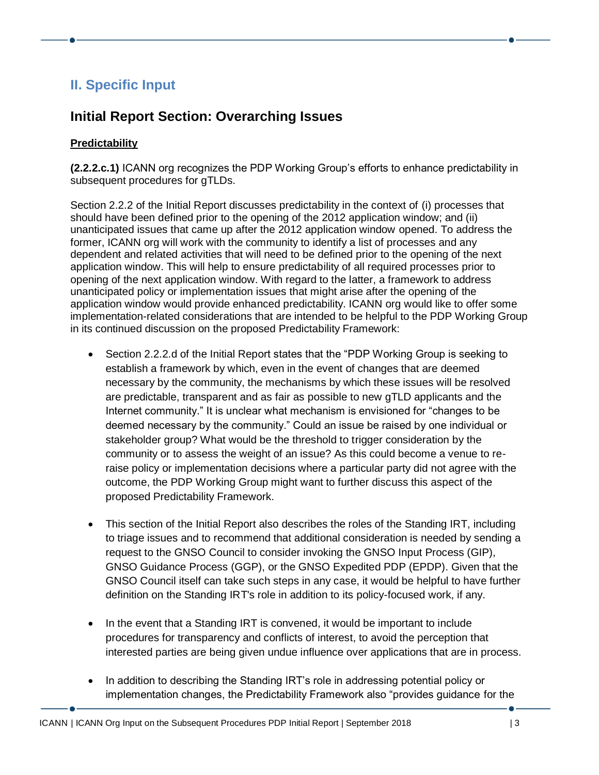# **II. Specific Input**

# **Initial Report Section: Overarching Issues**

## **Predictability**

**(2.2.2.c.1)** ICANN org recognizes the PDP Working Group's efforts to enhance predictability in subsequent procedures for gTLDs.

Section 2.2.2 of the Initial Report discusses predictability in the context of (i) processes that should have been defined prior to the opening of the 2012 application window; and (ii) unanticipated issues that came up after the 2012 application window opened. To address the former, ICANN org will work with the community to identify a list of processes and any dependent and related activities that will need to be defined prior to the opening of the next application window. This will help to ensure predictability of all required processes prior to opening of the next application window. With regard to the latter, a framework to address unanticipated policy or implementation issues that might arise after the opening of the application window would provide enhanced predictability. ICANN org would like to offer some implementation-related considerations that are intended to be helpful to the PDP Working Group in its continued discussion on the proposed Predictability Framework:

- Section 2.2.2.d of the Initial Report states that the "PDP Working Group is seeking to establish a framework by which, even in the event of changes that are deemed necessary by the community, the mechanisms by which these issues will be resolved are predictable, transparent and as fair as possible to new gTLD applicants and the Internet community." It is unclear what mechanism is envisioned for "changes to be deemed necessary by the community." Could an issue be raised by one individual or stakeholder group? What would be the threshold to trigger consideration by the community or to assess the weight of an issue? As this could become a venue to reraise policy or implementation decisions where a particular party did not agree with the outcome, the PDP Working Group might want to further discuss this aspect of the proposed Predictability Framework.
- This section of the Initial Report also describes the roles of the Standing IRT, including to triage issues and to recommend that additional consideration is needed by sending a request to the GNSO Council to consider invoking the GNSO Input Process (GIP), GNSO Guidance Process (GGP), or the GNSO Expedited PDP (EPDP). Given that the GNSO Council itself can take such steps in any case, it would be helpful to have further definition on the Standing IRT's role in addition to its policy-focused work, if any.
- In the event that a Standing IRT is convened, it would be important to include procedures for transparency and conflicts of interest, to avoid the perception that interested parties are being given undue influence over applications that are in process.
- In addition to describing the Standing IRT's role in addressing potential policy or implementation changes, the Predictability Framework also "provides guidance for the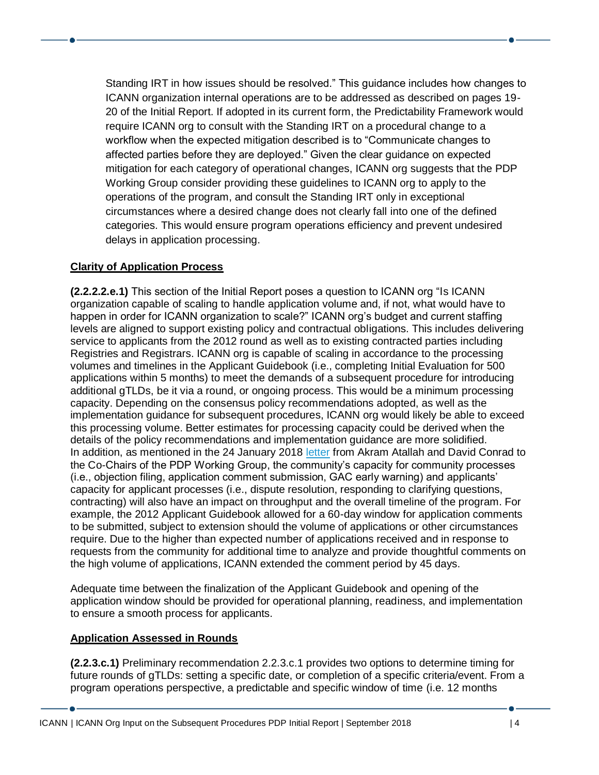Standing IRT in how issues should be resolved." This guidance includes how changes to ICANN organization internal operations are to be addressed as described on pages 19- 20 of the Initial Report. If adopted in its current form, the Predictability Framework would require ICANN org to consult with the Standing IRT on a procedural change to a workflow when the expected mitigation described is to "Communicate changes to affected parties before they are deployed." Given the clear guidance on expected mitigation for each category of operational changes, ICANN org suggests that the PDP Working Group consider providing these guidelines to ICANN org to apply to the operations of the program, and consult the Standing IRT only in exceptional circumstances where a desired change does not clearly fall into one of the defined categories. This would ensure program operations efficiency and prevent undesired delays in application processing.

## **Clarity of Application Process**

**(2.2.2.2.e.1)** This section of the Initial Report poses a question to ICANN org "Is ICANN organization capable of scaling to handle application volume and, if not, what would have to happen in order for ICANN organization to scale?" ICANN org's budget and current staffing levels are aligned to support existing policy and contractual obligations. This includes delivering service to applicants from the 2012 round as well as to existing contracted parties including Registries and Registrars. ICANN org is capable of scaling in accordance to the processing volumes and timelines in the Applicant Guidebook (i.e., completing Initial Evaluation for 500 applications within 5 months) to meet the demands of a subsequent procedure for introducing additional gTLDs, be it via a round, or ongoing process. This would be a minimum processing capacity. Depending on the consensus policy recommendations adopted, as well as the implementation guidance for subsequent procedures, ICANN org would likely be able to exceed this processing volume. Better estimates for processing capacity could be derived when the details of the policy recommendations and implementation guidance are more solidified. In addition, as mentioned in the 24 January 2018 [letter](https://www.icann.org/en/system/files/correspondence/conrad-atallah-to-neuman-langdon-orr-24jan18-en.pdf) from Akram Atallah and David Conrad to the Co-Chairs of the PDP Working Group, the community's capacity for community processes (i.e., objection filing, application comment submission, GAC early warning) and applicants' capacity for applicant processes (i.e., dispute resolution, responding to clarifying questions, contracting) will also have an impact on throughput and the overall timeline of the program. For example, the 2012 Applicant Guidebook allowed for a 60-day window for application comments to be submitted, subject to extension should the volume of applications or other circumstances require. Due to the higher than expected number of applications received and in response to requests from the community for additional time to analyze and provide thoughtful comments on the high volume of applications, ICANN extended the comment period by 45 days.

Adequate time between the finalization of the Applicant Guidebook and opening of the application window should be provided for operational planning, readiness, and implementation to ensure a smooth process for applicants.

#### **Application Assessed in Rounds**

**(2.2.3.c.1)** Preliminary recommendation 2.2.3.c.1 provides two options to determine timing for future rounds of gTLDs: setting a specific date, or completion of a specific criteria/event. From a program operations perspective, a predictable and specific window of time (i.e. 12 months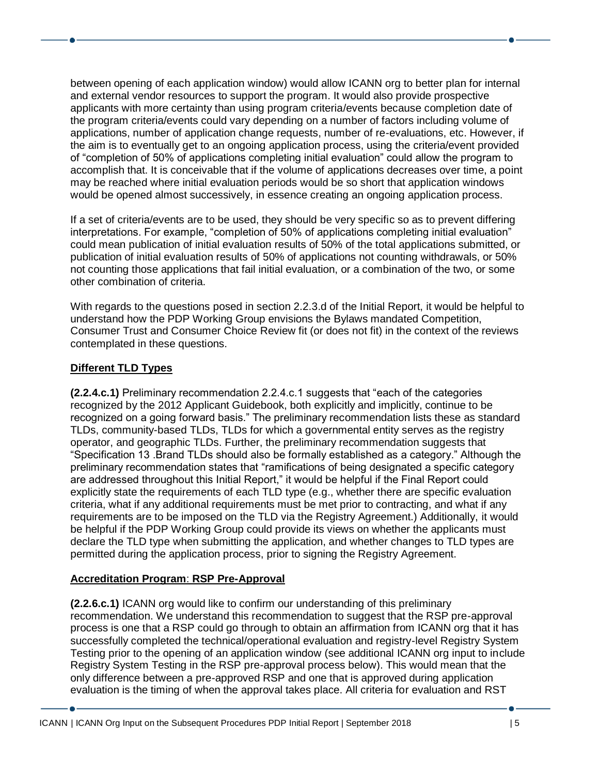between opening of each application window) would allow ICANN org to better plan for internal and external vendor resources to support the program. It would also provide prospective applicants with more certainty than using program criteria/events because completion date of the program criteria/events could vary depending on a number of factors including volume of applications, number of application change requests, number of re-evaluations, etc. However, if the aim is to eventually get to an ongoing application process, using the criteria/event provided of "completion of 50% of applications completing initial evaluation" could allow the program to accomplish that. It is conceivable that if the volume of applications decreases over time, a point may be reached where initial evaluation periods would be so short that application windows would be opened almost successively, in essence creating an ongoing application process.

If a set of criteria/events are to be used, they should be very specific so as to prevent differing interpretations. For example, "completion of 50% of applications completing initial evaluation" could mean publication of initial evaluation results of 50% of the total applications submitted, or publication of initial evaluation results of 50% of applications not counting withdrawals, or 50% not counting those applications that fail initial evaluation, or a combination of the two, or some other combination of criteria.

With regards to the questions posed in section 2.2.3.d of the Initial Report, it would be helpful to understand how the PDP Working Group envisions the Bylaws mandated Competition, Consumer Trust and Consumer Choice Review fit (or does not fit) in the context of the reviews contemplated in these questions.

## **Different TLD Types**

**(2.2.4.c.1)** Preliminary recommendation 2.2.4.c.1 suggests that "each of the categories recognized by the 2012 Applicant Guidebook, both explicitly and implicitly, continue to be recognized on a going forward basis." The preliminary recommendation lists these as standard TLDs, community-based TLDs, TLDs for which a governmental entity serves as the registry operator, and geographic TLDs. Further, the preliminary recommendation suggests that "Specification 13 .Brand TLDs should also be formally established as a category." Although the preliminary recommendation states that "ramifications of being designated a specific category are addressed throughout this Initial Report," it would be helpful if the Final Report could explicitly state the requirements of each TLD type (e.g., whether there are specific evaluation criteria, what if any additional requirements must be met prior to contracting, and what if any requirements are to be imposed on the TLD via the Registry Agreement.) Additionally, it would be helpful if the PDP Working Group could provide its views on whether the applicants must declare the TLD type when submitting the application, and whether changes to TLD types are permitted during the application process, prior to signing the Registry Agreement.

#### **Accreditation Program**: **RSP Pre-Approval**

**(2.2.6.c.1)** ICANN org would like to confirm our understanding of this preliminary recommendation. We understand this recommendation to suggest that the RSP pre-approval process is one that a RSP could go through to obtain an affirmation from ICANN org that it has successfully completed the technical/operational evaluation and registry-level Registry System Testing prior to the opening of an application window (see additional ICANN org input to include Registry System Testing in the RSP pre-approval process below). This would mean that the only difference between a pre-approved RSP and one that is approved during application evaluation is the timing of when the approval takes place. All criteria for evaluation and RST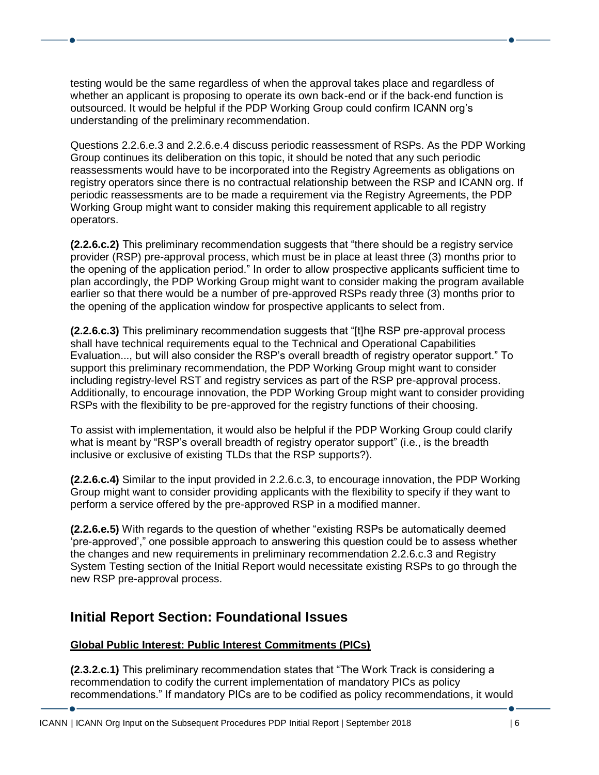testing would be the same regardless of when the approval takes place and regardless of whether an applicant is proposing to operate its own back-end or if the back-end function is outsourced. It would be helpful if the PDP Working Group could confirm ICANN org's understanding of the preliminary recommendation.

Questions 2.2.6.e.3 and 2.2.6.e.4 discuss periodic reassessment of RSPs. As the PDP Working Group continues its deliberation on this topic, it should be noted that any such periodic reassessments would have to be incorporated into the Registry Agreements as obligations on registry operators since there is no contractual relationship between the RSP and ICANN org. If periodic reassessments are to be made a requirement via the Registry Agreements, the PDP Working Group might want to consider making this requirement applicable to all registry operators.

**(2.2.6.c.2)** This preliminary recommendation suggests that "there should be a registry service provider (RSP) pre-approval process, which must be in place at least three (3) months prior to the opening of the application period." In order to allow prospective applicants sufficient time to plan accordingly, the PDP Working Group might want to consider making the program available earlier so that there would be a number of pre-approved RSPs ready three (3) months prior to the opening of the application window for prospective applicants to select from.

**(2.2.6.c.3)** This preliminary recommendation suggests that "[t]he RSP pre-approval process shall have technical requirements equal to the Technical and Operational Capabilities Evaluation..., but will also consider the RSP's overall breadth of registry operator support." To support this preliminary recommendation, the PDP Working Group might want to consider including registry-level RST and registry services as part of the RSP pre-approval process. Additionally, to encourage innovation, the PDP Working Group might want to consider providing RSPs with the flexibility to be pre-approved for the registry functions of their choosing.

To assist with implementation, it would also be helpful if the PDP Working Group could clarify what is meant by "RSP's overall breadth of registry operator support" (i.e., is the breadth inclusive or exclusive of existing TLDs that the RSP supports?).

**(2.2.6.c.4)** Similar to the input provided in 2.2.6.c.3, to encourage innovation, the PDP Working Group might want to consider providing applicants with the flexibility to specify if they want to perform a service offered by the pre-approved RSP in a modified manner.

**(2.2.6.e.5)** With regards to the question of whether "existing RSPs be automatically deemed 'pre-approved'," one possible approach to answering this question could be to assess whether the changes and new requirements in preliminary recommendation 2.2.6.c.3 and Registry System Testing section of the Initial Report would necessitate existing RSPs to go through the new RSP pre-approval process.

## **Initial Report Section: Foundational Issues**

## **Global Public Interest: Public Interest Commitments (PICs)**

**(2.3.2.c.1)** This preliminary recommendation states that "The Work Track is considering a recommendation to codify the current implementation of mandatory PICs as policy recommendations." If mandatory PICs are to be codified as policy recommendations, it would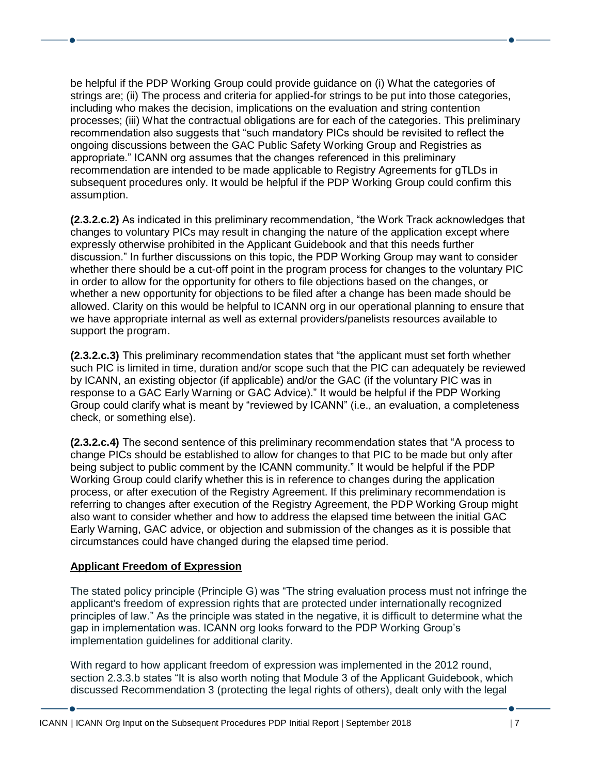be helpful if the PDP Working Group could provide guidance on (i) What the categories of strings are; (ii) The process and criteria for applied-for strings to be put into those categories, including who makes the decision, implications on the evaluation and string contention processes; (iii) What the contractual obligations are for each of the categories. This preliminary recommendation also suggests that "such mandatory PICs should be revisited to reflect the ongoing discussions between the GAC Public Safety Working Group and Registries as appropriate." ICANN org assumes that the changes referenced in this preliminary recommendation are intended to be made applicable to Registry Agreements for gTLDs in subsequent procedures only. It would be helpful if the PDP Working Group could confirm this assumption.

**(2.3.2.c.2)** As indicated in this preliminary recommendation, "the Work Track acknowledges that changes to voluntary PICs may result in changing the nature of the application except where expressly otherwise prohibited in the Applicant Guidebook and that this needs further discussion." In further discussions on this topic, the PDP Working Group may want to consider whether there should be a cut-off point in the program process for changes to the voluntary PIC in order to allow for the opportunity for others to file objections based on the changes, or whether a new opportunity for objections to be filed after a change has been made should be allowed. Clarity on this would be helpful to ICANN org in our operational planning to ensure that we have appropriate internal as well as external providers/panelists resources available to support the program.

**(2.3.2.c.3)** This preliminary recommendation states that "the applicant must set forth whether such PIC is limited in time, duration and/or scope such that the PIC can adequately be reviewed by ICANN, an existing objector (if applicable) and/or the GAC (if the voluntary PIC was in response to a GAC Early Warning or GAC Advice)." It would be helpful if the PDP Working Group could clarify what is meant by "reviewed by ICANN" (i.e., an evaluation, a completeness check, or something else).

**(2.3.2.c.4)** The second sentence of this preliminary recommendation states that "A process to change PICs should be established to allow for changes to that PIC to be made but only after being subject to public comment by the ICANN community." It would be helpful if the PDP Working Group could clarify whether this is in reference to changes during the application process, or after execution of the Registry Agreement. If this preliminary recommendation is referring to changes after execution of the Registry Agreement, the PDP Working Group might also want to consider whether and how to address the elapsed time between the initial GAC Early Warning, GAC advice, or objection and submission of the changes as it is possible that circumstances could have changed during the elapsed time period.

#### **Applicant Freedom of Expression**

The stated policy principle (Principle G) was "The string evaluation process must not infringe the applicant's freedom of expression rights that are protected under internationally recognized principles of law." As the principle was stated in the negative, it is difficult to determine what the gap in implementation was. ICANN org looks forward to the PDP Working Group's implementation guidelines for additional clarity.

With regard to how applicant freedom of expression was implemented in the 2012 round, section 2.3.3.b states "It is also worth noting that Module 3 of the Applicant Guidebook, which discussed Recommendation 3 (protecting the legal rights of others), dealt only with the legal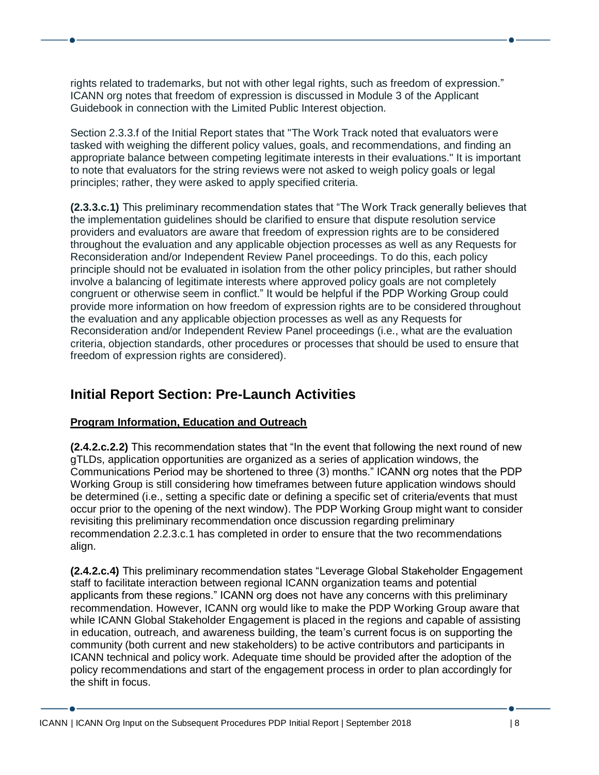rights related to trademarks, but not with other legal rights, such as freedom of expression." ICANN org notes that freedom of expression is discussed in Module 3 of the Applicant Guidebook in connection with the Limited Public Interest objection.

Section 2.3.3.f of the Initial Report states that "The Work Track noted that evaluators were tasked with weighing the different policy values, goals, and recommendations, and finding an appropriate balance between competing legitimate interests in their evaluations." It is important to note that evaluators for the string reviews were not asked to weigh policy goals or legal principles; rather, they were asked to apply specified criteria.

**(2.3.3.c.1)** This preliminary recommendation states that "The Work Track generally believes that the implementation guidelines should be clarified to ensure that dispute resolution service providers and evaluators are aware that freedom of expression rights are to be considered throughout the evaluation and any applicable objection processes as well as any Requests for Reconsideration and/or Independent Review Panel proceedings. To do this, each policy principle should not be evaluated in isolation from the other policy principles, but rather should involve a balancing of legitimate interests where approved policy goals are not completely congruent or otherwise seem in conflict." It would be helpful if the PDP Working Group could provide more information on how freedom of expression rights are to be considered throughout the evaluation and any applicable objection processes as well as any Requests for Reconsideration and/or Independent Review Panel proceedings (i.e., what are the evaluation criteria, objection standards, other procedures or processes that should be used to ensure that freedom of expression rights are considered).

## **Initial Report Section: Pre-Launch Activities**

## **Program Information, Education and Outreach**

**(2.4.2.c.2.2)** This recommendation states that "In the event that following the next round of new gTLDs, application opportunities are organized as a series of application windows, the Communications Period may be shortened to three (3) months." ICANN org notes that the PDP Working Group is still considering how timeframes between future application windows should be determined (i.e., setting a specific date or defining a specific set of criteria/events that must occur prior to the opening of the next window). The PDP Working Group might want to consider revisiting this preliminary recommendation once discussion regarding preliminary recommendation 2.2.3.c.1 has completed in order to ensure that the two recommendations align.

**(2.4.2.c.4)** This preliminary recommendation states "Leverage Global Stakeholder Engagement staff to facilitate interaction between regional ICANN organization teams and potential applicants from these regions." ICANN org does not have any concerns with this preliminary recommendation. However, ICANN org would like to make the PDP Working Group aware that while ICANN Global Stakeholder Engagement is placed in the regions and capable of assisting in education, outreach, and awareness building, the team's current focus is on supporting the community (both current and new stakeholders) to be active contributors and participants in ICANN technical and policy work. Adequate time should be provided after the adoption of the policy recommendations and start of the engagement process in order to plan accordingly for the shift in focus.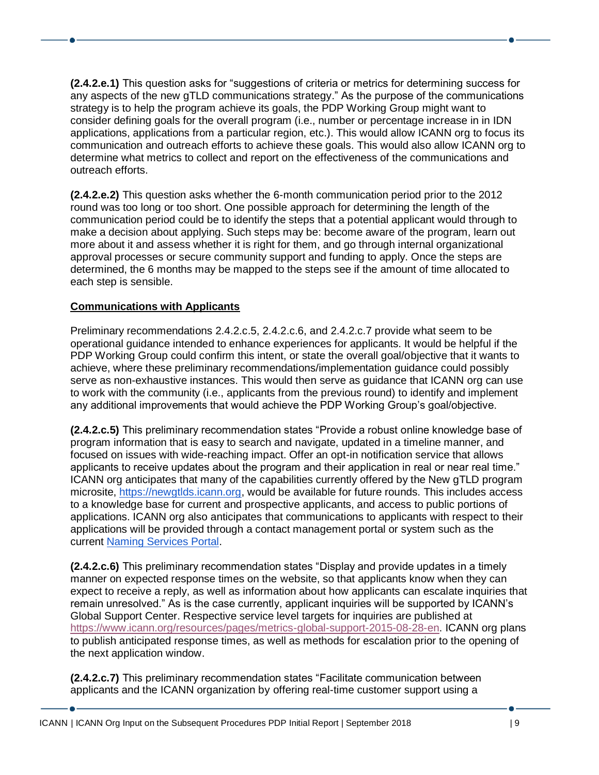**(2.4.2.e.1)** This question asks for "suggestions of criteria or metrics for determining success for any aspects of the new gTLD communications strategy." As the purpose of the communications strategy is to help the program achieve its goals, the PDP Working Group might want to consider defining goals for the overall program (i.e., number or percentage increase in in IDN applications, applications from a particular region, etc.). This would allow ICANN org to focus its communication and outreach efforts to achieve these goals. This would also allow ICANN org to determine what metrics to collect and report on the effectiveness of the communications and outreach efforts.

**(2.4.2.e.2)** This question asks whether the 6-month communication period prior to the 2012 round was too long or too short. One possible approach for determining the length of the communication period could be to identify the steps that a potential applicant would through to make a decision about applying. Such steps may be: become aware of the program, learn out more about it and assess whether it is right for them, and go through internal organizational approval processes or secure community support and funding to apply. Once the steps are determined, the 6 months may be mapped to the steps see if the amount of time allocated to each step is sensible.

## **Communications with Applicants**

Preliminary recommendations 2.4.2.c.5, 2.4.2.c.6, and 2.4.2.c.7 provide what seem to be operational guidance intended to enhance experiences for applicants. It would be helpful if the PDP Working Group could confirm this intent, or state the overall goal/objective that it wants to achieve, where these preliminary recommendations/implementation guidance could possibly serve as non-exhaustive instances. This would then serve as guidance that ICANN org can use to work with the community (i.e., applicants from the previous round) to identify and implement any additional improvements that would achieve the PDP Working Group's goal/objective.

**(2.4.2.c.5)** This preliminary recommendation states "Provide a robust online knowledge base of program information that is easy to search and navigate, updated in a timeline manner, and focused on issues with wide-reaching impact. Offer an opt-in notification service that allows applicants to receive updates about the program and their application in real or near real time." ICANN org anticipates that many of the capabilities currently offered by the New gTLD program microsite, [https://newgtlds.icann.org,](https://newgtlds.icann.org/) would be available for future rounds. This includes access to a knowledge base for current and prospective applicants, and access to public portions of applications. ICANN org also anticipates that communications to applicants with respect to their applications will be provided through a contact management portal or system such as the current [Naming Services Portal.](https://www.icann.org/resources/pages/nsp-registrars-2018-03-26-en)

**(2.4.2.c.6)** This preliminary recommendation states "Display and provide updates in a timely manner on expected response times on the website, so that applicants know when they can expect to receive a reply, as well as information about how applicants can escalate inquiries that remain unresolved." As is the case currently, applicant inquiries will be supported by ICANN's Global Support Center. Respective service level targets for inquiries are published at [https://www.icann.org/resources/pages/metrics-global-support-2015-08-28-en.](https://www.icann.org/resources/pages/metrics-global-support-2015-08-28-en) ICANN org plans to publish anticipated response times, as well as methods for escalation prior to the opening of the next application window.

**(2.4.2.c.7)** This preliminary recommendation states "Facilitate communication between applicants and the ICANN organization by offering real-time customer support using a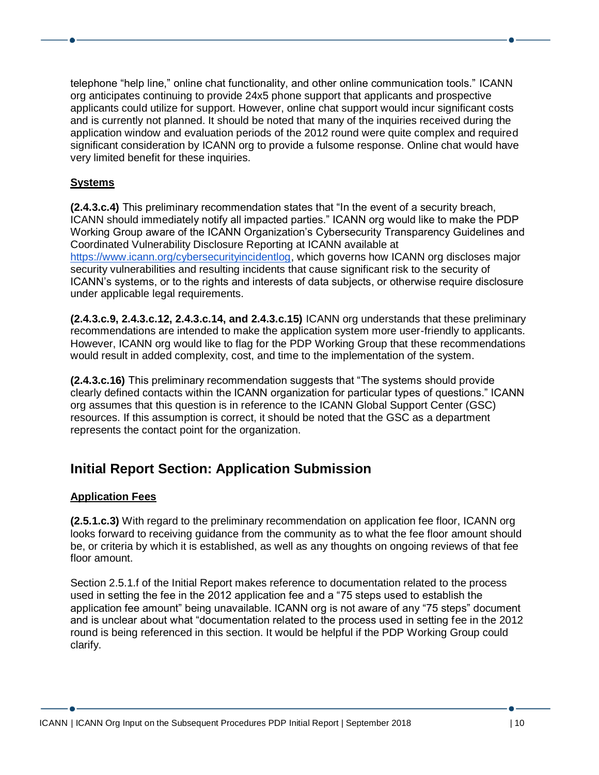telephone "help line," online chat functionality, and other online communication tools." ICANN org anticipates continuing to provide 24x5 phone support that applicants and prospective applicants could utilize for support. However, online chat support would incur significant costs and is currently not planned. It should be noted that many of the inquiries received during the application window and evaluation periods of the 2012 round were quite complex and required significant consideration by ICANN org to provide a fulsome response. Online chat would have very limited benefit for these inquiries.

## **Systems**

**(2.4.3.c.4)** This preliminary recommendation states that "In the event of a security breach, ICANN should immediately notify all impacted parties." ICANN org would like to make the PDP Working Group aware of the ICANN Organization's Cybersecurity Transparency Guidelines and Coordinated Vulnerability Disclosure Reporting at ICANN available at [https://www.icann.org/cybersecurityincidentlog,](https://www.icann.org/cybersecurityincidentlog) which governs how ICANN org discloses major security vulnerabilities and resulting incidents that cause significant risk to the security of ICANN's systems, or to the rights and interests of data subjects, or otherwise require disclosure under applicable legal requirements.

**(2.4.3.c.9, 2.4.3.c.12, 2.4.3.c.14, and 2.4.3.c.15)** ICANN org understands that these preliminary recommendations are intended to make the application system more user-friendly to applicants. However, ICANN org would like to flag for the PDP Working Group that these recommendations would result in added complexity, cost, and time to the implementation of the system.

**(2.4.3.c.16)** This preliminary recommendation suggests that "The systems should provide clearly defined contacts within the ICANN organization for particular types of questions." ICANN org assumes that this question is in reference to the ICANN Global Support Center (GSC) resources. If this assumption is correct, it should be noted that the GSC as a department represents the contact point for the organization.

## **Initial Report Section: Application Submission**

#### **Application Fees**

**(2.5.1.c.3)** With regard to the preliminary recommendation on application fee floor, ICANN org looks forward to receiving guidance from the community as to what the fee floor amount should be, or criteria by which it is established, as well as any thoughts on ongoing reviews of that fee floor amount.

Section 2.5.1.f of the Initial Report makes reference to documentation related to the process used in setting the fee in the 2012 application fee and a "75 steps used to establish the application fee amount" being unavailable. ICANN org is not aware of any "75 steps" document and is unclear about what "documentation related to the process used in setting fee in the 2012 round is being referenced in this section. It would be helpful if the PDP Working Group could clarify.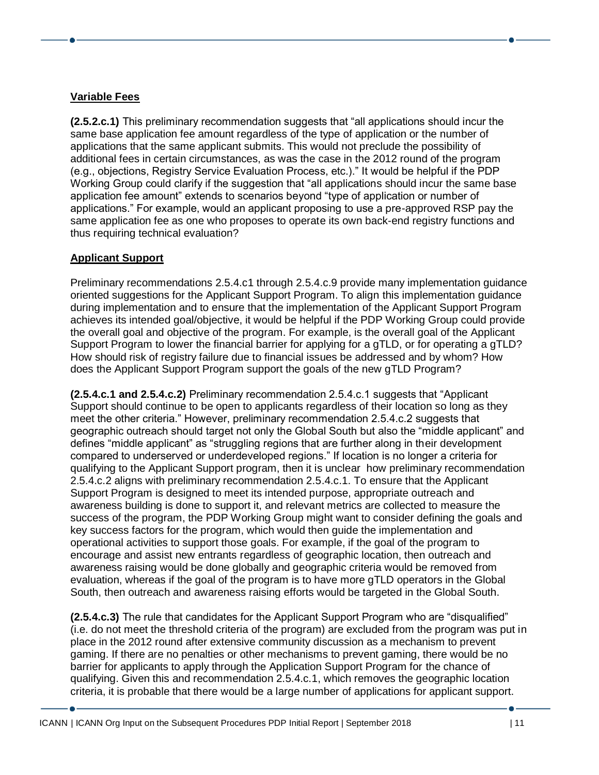## **Variable Fees**

**(2.5.2.c.1)** This preliminary recommendation suggests that "all applications should incur the same base application fee amount regardless of the type of application or the number of applications that the same applicant submits. This would not preclude the possibility of additional fees in certain circumstances, as was the case in the 2012 round of the program (e.g., objections, Registry Service Evaluation Process, etc.)." It would be helpful if the PDP Working Group could clarify if the suggestion that "all applications should incur the same base application fee amount" extends to scenarios beyond "type of application or number of applications." For example, would an applicant proposing to use a pre-approved RSP pay the same application fee as one who proposes to operate its own back-end registry functions and thus requiring technical evaluation?

## **Applicant Support**

Preliminary recommendations 2.5.4.c1 through 2.5.4.c.9 provide many implementation guidance oriented suggestions for the Applicant Support Program. To align this implementation guidance during implementation and to ensure that the implementation of the Applicant Support Program achieves its intended goal/objective, it would be helpful if the PDP Working Group could provide the overall goal and objective of the program. For example, is the overall goal of the Applicant Support Program to lower the financial barrier for applying for a gTLD, or for operating a gTLD? How should risk of registry failure due to financial issues be addressed and by whom? How does the Applicant Support Program support the goals of the new gTLD Program?

**(2.5.4.c.1 and 2.5.4.c.2)** Preliminary recommendation 2.5.4.c.1 suggests that "Applicant Support should continue to be open to applicants regardless of their location so long as they meet the other criteria." However, preliminary recommendation 2.5.4.c.2 suggests that geographic outreach should target not only the Global South but also the "middle applicant" and defines "middle applicant" as "struggling regions that are further along in their development compared to underserved or underdeveloped regions." If location is no longer a criteria for qualifying to the Applicant Support program, then it is unclear how preliminary recommendation 2.5.4.c.2 aligns with preliminary recommendation 2.5.4.c.1. To ensure that the Applicant Support Program is designed to meet its intended purpose, appropriate outreach and awareness building is done to support it, and relevant metrics are collected to measure the success of the program, the PDP Working Group might want to consider defining the goals and key success factors for the program, which would then guide the implementation and operational activities to support those goals. For example, if the goal of the program to encourage and assist new entrants regardless of geographic location, then outreach and awareness raising would be done globally and geographic criteria would be removed from evaluation, whereas if the goal of the program is to have more gTLD operators in the Global South, then outreach and awareness raising efforts would be targeted in the Global South.

**(2.5.4.c.3)** The rule that candidates for the Applicant Support Program who are "disqualified" (i.e. do not meet the threshold criteria of the program) are excluded from the program was put in place in the 2012 round after extensive community discussion as a mechanism to prevent gaming. If there are no penalties or other mechanisms to prevent gaming, there would be no barrier for applicants to apply through the Application Support Program for the chance of qualifying. Given this and recommendation 2.5.4.c.1, which removes the geographic location criteria, it is probable that there would be a large number of applications for applicant support.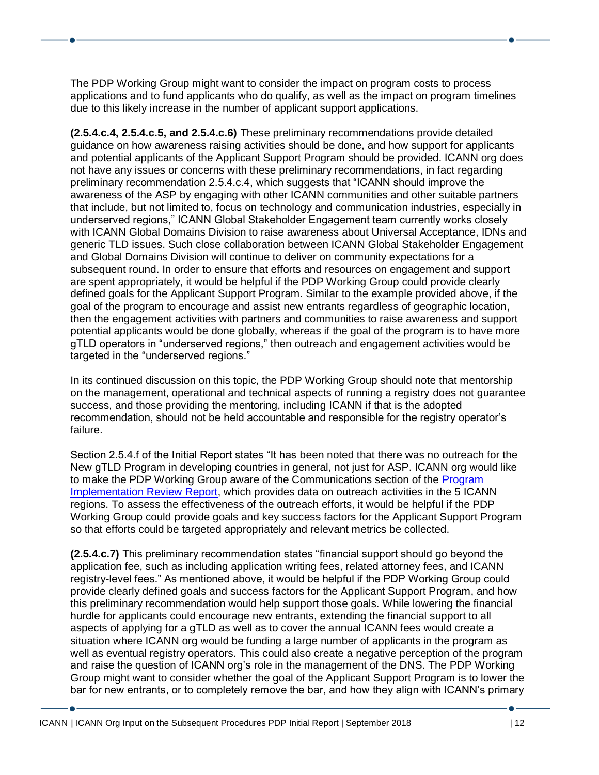The PDP Working Group might want to consider the impact on program costs to process applications and to fund applicants who do qualify, as well as the impact on program timelines due to this likely increase in the number of applicant support applications.

**(2.5.4.c.4, 2.5.4.c.5, and 2.5.4.c.6)** These preliminary recommendations provide detailed guidance on how awareness raising activities should be done, and how support for applicants and potential applicants of the Applicant Support Program should be provided. ICANN org does not have any issues or concerns with these preliminary recommendations, in fact regarding preliminary recommendation 2.5.4.c.4, which suggests that "ICANN should improve the awareness of the ASP by engaging with other ICANN communities and other suitable partners that include, but not limited to, focus on technology and communication industries, especially in underserved regions," ICANN Global Stakeholder Engagement team currently works closely with ICANN Global Domains Division to raise awareness about Universal Acceptance, IDNs and generic TLD issues. Such close collaboration between ICANN Global Stakeholder Engagement and Global Domains Division will continue to deliver on community expectations for a subsequent round. In order to ensure that efforts and resources on engagement and support are spent appropriately, it would be helpful if the PDP Working Group could provide clearly defined goals for the Applicant Support Program. Similar to the example provided above, if the goal of the program to encourage and assist new entrants regardless of geographic location, then the engagement activities with partners and communities to raise awareness and support potential applicants would be done globally, whereas if the goal of the program is to have more gTLD operators in "underserved regions," then outreach and engagement activities would be targeted in the "underserved regions."

In its continued discussion on this topic, the PDP Working Group should note that mentorship on the management, operational and technical aspects of running a registry does not guarantee success, and those providing the mentoring, including ICANN if that is the adopted recommendation, should not be held accountable and responsible for the registry operator's failure.

Section 2.5.4.f of the Initial Report states "It has been noted that there was no outreach for the New gTLD Program in developing countries in general, not just for ASP. ICANN org would like to make the PDP Working Group aware of the Communications section of the [Program](https://www.icann.org/en/system/files/files/program-review-29jan16-en.pdf)  [Implementation Review Report,](https://www.icann.org/en/system/files/files/program-review-29jan16-en.pdf) which provides data on outreach activities in the 5 ICANN regions. To assess the effectiveness of the outreach efforts, it would be helpful if the PDP Working Group could provide goals and key success factors for the Applicant Support Program so that efforts could be targeted appropriately and relevant metrics be collected.

**(2.5.4.c.7)** This preliminary recommendation states "financial support should go beyond the application fee, such as including application writing fees, related attorney fees, and ICANN registry-level fees." As mentioned above, it would be helpful if the PDP Working Group could provide clearly defined goals and success factors for the Applicant Support Program, and how this preliminary recommendation would help support those goals. While lowering the financial hurdle for applicants could encourage new entrants, extending the financial support to all aspects of applying for a gTLD as well as to cover the annual ICANN fees would create a situation where ICANN org would be funding a large number of applicants in the program as well as eventual registry operators. This could also create a negative perception of the program and raise the question of ICANN org's role in the management of the DNS. The PDP Working Group might want to consider whether the goal of the Applicant Support Program is to lower the bar for new entrants, or to completely remove the bar, and how they align with ICANN's primary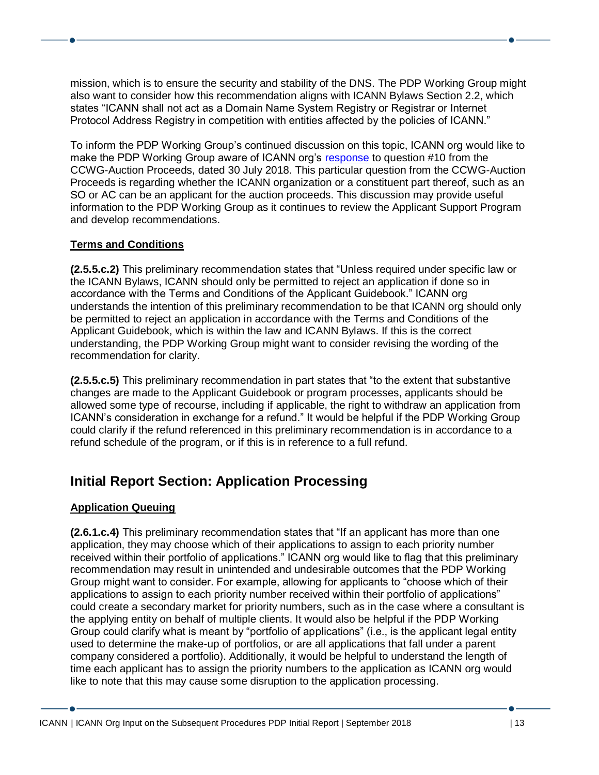mission, which is to ensure the security and stability of the DNS. The PDP Working Group might also want to consider how this recommendation aligns with ICANN Bylaws Section 2.2, which states "ICANN shall not act as a Domain Name System Registry or Registrar or Internet Protocol Address Registry in competition with entities affected by the policies of ICANN."

To inform the PDP Working Group's continued discussion on this topic, ICANN org would like to make the PDP Working Group aware of ICANN org's [response](https://community.icann.org/display/CWGONGAP/Additional+Questions+and+Responses+-+30+July+2018?preview=/90770179/90773177/CCWG-AP%20Questions%20for%20ICANN%20org%20-%20XC2%20and%20SE2.docx) to question #10 from the CCWG-Auction Proceeds, dated 30 July 2018. This particular question from the CCWG-Auction Proceeds is regarding whether the ICANN organization or a constituent part thereof, such as an SO or AC can be an applicant for the auction proceeds. This discussion may provide useful information to the PDP Working Group as it continues to review the Applicant Support Program and develop recommendations.

## **Terms and Conditions**

**(2.5.5.c.2)** This preliminary recommendation states that "Unless required under specific law or the ICANN Bylaws, ICANN should only be permitted to reject an application if done so in accordance with the Terms and Conditions of the Applicant Guidebook." ICANN org understands the intention of this preliminary recommendation to be that ICANN org should only be permitted to reject an application in accordance with the Terms and Conditions of the Applicant Guidebook, which is within the law and ICANN Bylaws. If this is the correct understanding, the PDP Working Group might want to consider revising the wording of the recommendation for clarity.

**(2.5.5.c.5)** This preliminary recommendation in part states that "to the extent that substantive changes are made to the Applicant Guidebook or program processes, applicants should be allowed some type of recourse, including if applicable, the right to withdraw an application from ICANN's consideration in exchange for a refund." It would be helpful if the PDP Working Group could clarify if the refund referenced in this preliminary recommendation is in accordance to a refund schedule of the program, or if this is in reference to a full refund.

# **Initial Report Section: Application Processing**

## **Application Queuing**

**(2.6.1.c.4)** This preliminary recommendation states that "If an applicant has more than one application, they may choose which of their applications to assign to each priority number received within their portfolio of applications." ICANN org would like to flag that this preliminary recommendation may result in unintended and undesirable outcomes that the PDP Working Group might want to consider. For example, allowing for applicants to "choose which of their applications to assign to each priority number received within their portfolio of applications" could create a secondary market for priority numbers, such as in the case where a consultant is the applying entity on behalf of multiple clients. It would also be helpful if the PDP Working Group could clarify what is meant by "portfolio of applications" (i.e., is the applicant legal entity used to determine the make-up of portfolios, or are all applications that fall under a parent company considered a portfolio). Additionally, it would be helpful to understand the length of time each applicant has to assign the priority numbers to the application as ICANN org would like to note that this may cause some disruption to the application processing.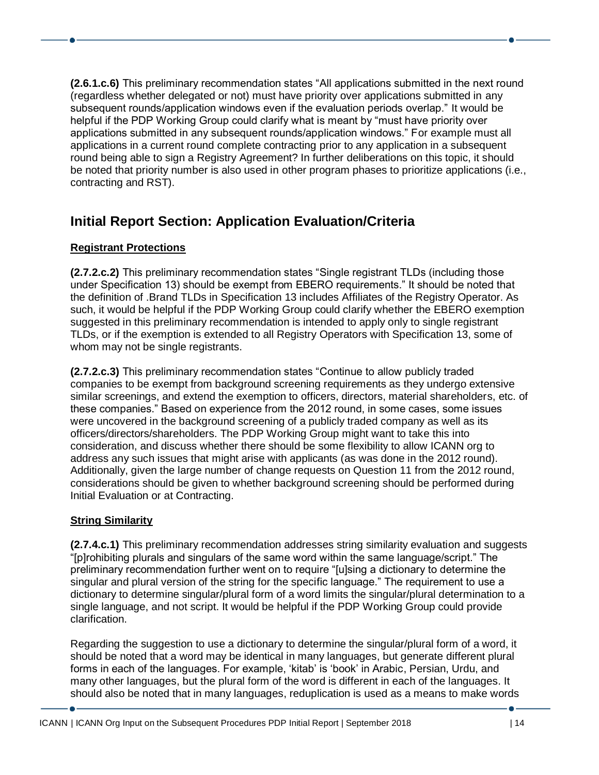**(2.6.1.c.6)** This preliminary recommendation states "All applications submitted in the next round (regardless whether delegated or not) must have priority over applications submitted in any subsequent rounds/application windows even if the evaluation periods overlap." It would be helpful if the PDP Working Group could clarify what is meant by "must have priority over applications submitted in any subsequent rounds/application windows." For example must all applications in a current round complete contracting prior to any application in a subsequent round being able to sign a Registry Agreement? In further deliberations on this topic, it should be noted that priority number is also used in other program phases to prioritize applications (i.e., contracting and RST).

# **Initial Report Section: Application Evaluation/Criteria**

## **Registrant Protections**

**(2.7.2.c.2)** This preliminary recommendation states "Single registrant TLDs (including those under Specification 13) should be exempt from EBERO requirements." It should be noted that the definition of .Brand TLDs in Specification 13 includes Affiliates of the Registry Operator. As such, it would be helpful if the PDP Working Group could clarify whether the EBERO exemption suggested in this preliminary recommendation is intended to apply only to single registrant TLDs, or if the exemption is extended to all Registry Operators with Specification 13, some of whom may not be single registrants.

**(2.7.2.c.3)** This preliminary recommendation states "Continue to allow publicly traded companies to be exempt from background screening requirements as they undergo extensive similar screenings, and extend the exemption to officers, directors, material shareholders, etc. of these companies." Based on experience from the 2012 round, in some cases, some issues were uncovered in the background screening of a publicly traded company as well as its officers/directors/shareholders. The PDP Working Group might want to take this into consideration, and discuss whether there should be some flexibility to allow ICANN org to address any such issues that might arise with applicants (as was done in the 2012 round). Additionally, given the large number of change requests on Question 11 from the 2012 round, considerations should be given to whether background screening should be performed during Initial Evaluation or at Contracting.

## **String Similarity**

**(2.7.4.c.1)** This preliminary recommendation addresses string similarity evaluation and suggests "[p]rohibiting plurals and singulars of the same word within the same language/script." The preliminary recommendation further went on to require "[u]sing a dictionary to determine the singular and plural version of the string for the specific language." The requirement to use a dictionary to determine singular/plural form of a word limits the singular/plural determination to a single language, and not script. It would be helpful if the PDP Working Group could provide clarification.

Regarding the suggestion to use a dictionary to determine the singular/plural form of a word, it should be noted that a word may be identical in many languages, but generate different plural forms in each of the languages. For example, 'kitab' is 'book' in Arabic, Persian, Urdu, and many other languages, but the plural form of the word is different in each of the languages. It should also be noted that in many languages, reduplication is used as a means to make words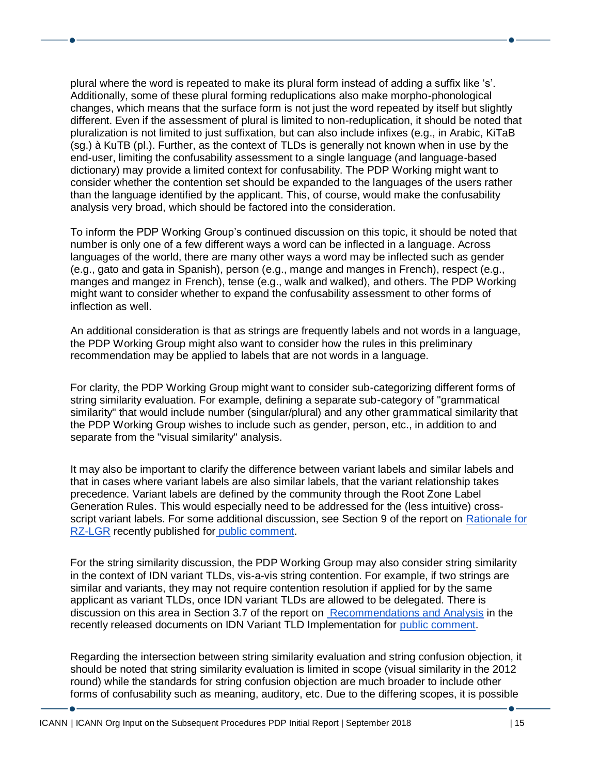plural where the word is repeated to make its plural form instead of adding a suffix like 's'. Additionally, some of these plural forming reduplications also make morpho-phonological changes, which means that the surface form is not just the word repeated by itself but slightly different. Even if the assessment of plural is limited to non-reduplication, it should be noted that pluralization is not limited to just suffixation, but can also include infixes (e.g., in Arabic, KiTaB (sg.) à KuTB (pl.). Further, as the context of TLDs is generally not known when in use by the end-user, limiting the confusability assessment to a single language (and language-based dictionary) may provide a limited context for confusability. The PDP Working might want to consider whether the contention set should be expanded to the languages of the users rather than the language identified by the applicant. This, of course, would make the confusability analysis very broad, which should be factored into the consideration.

To inform the PDP Working Group's continued discussion on this topic, it should be noted that number is only one of a few different ways a word can be inflected in a language. Across languages of the world, there are many other ways a word may be inflected such as gender (e.g., gato and gata in Spanish), person (e.g., mange and manges in French), respect (e.g., manges and mangez in French), tense (e.g., walk and walked), and others. The PDP Working might want to consider whether to expand the confusability assessment to other forms of inflection as well.

An additional consideration is that as strings are frequently labels and not words in a language, the PDP Working Group might also want to consider how the rules in this preliminary recommendation may be applied to labels that are not words in a language.

For clarity, the PDP Working Group might want to consider sub-categorizing different forms of string similarity evaluation. For example, defining a separate sub-category of "grammatical similarity" that would include number (singular/plural) and any other grammatical similarity that the PDP Working Group wishes to include such as gender, person, etc., in addition to and separate from the "visual similarity" analysis.

It may also be important to clarify the difference between variant labels and similar labels and that in cases where variant labels are also similar labels, that the variant relationship takes precedence. Variant labels are defined by the community through the Root Zone Label Generation Rules. This would especially need to be addressed for the (less intuitive) crossscript variant labels. For some additional discussion, see Section 9 of the report on [Rationale for](https://www.icann.org/en/system/files/files/idn-variant-tld-rationale-lgr-25jul18-en.pdf)  [RZ-LGR](https://www.icann.org/en/system/files/files/idn-variant-tld-rationale-lgr-25jul18-en.pdf) recently published for [public comment.](https://www.icann.org/public-comments/managing-idn-variant-tlds-2018-07-25-en)

For the string similarity discussion, the PDP Working Group may also consider string similarity in the context of IDN variant TLDs, vis-a-vis string contention. For example, if two strings are similar and variants, they may not require contention resolution if applied for by the same applicant as variant TLDs, once IDN variant TLDs are allowed to be delegated. There is discussion on this area in Section 3.7 of the report o[n](https://www.icann.org/en/system/files/files/idn-variant-tld-recommendations-analysis-25jul18-en.pdf) [Recommendations and Analysis](https://www.icann.org/en/system/files/files/idn-variant-tld-recommendations-analysis-25jul18-en.pdf) in the recently released documents on IDN Variant TLD Implementation for [public comment.](https://www.icann.org/public-comments/managing-idn-variant-tlds-2018-07-25-en)

Regarding the intersection between string similarity evaluation and string confusion objection, it should be noted that string similarity evaluation is limited in scope (visual similarity in the 2012 round) while the standards for string confusion objection are much broader to include other forms of confusability such as meaning, auditory, etc. Due to the differing scopes, it is possible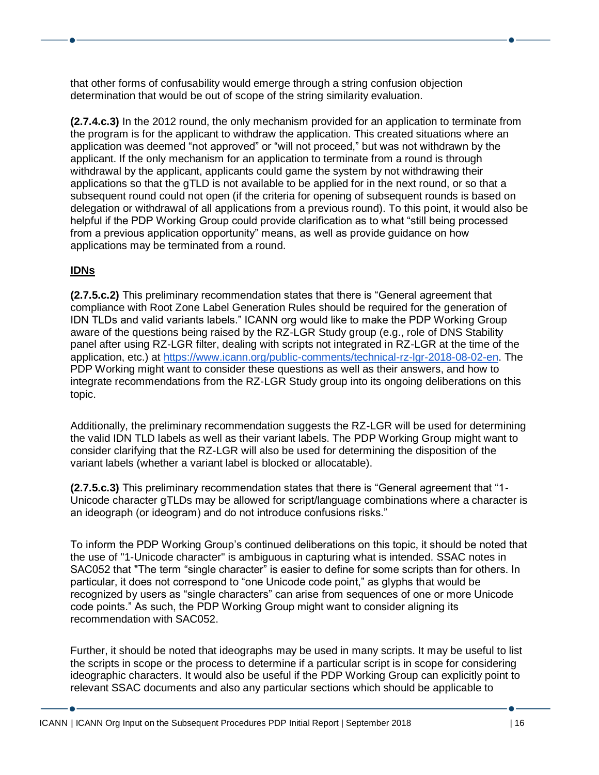that other forms of confusability would emerge through a string confusion objection determination that would be out of scope of the string similarity evaluation.

**(2.7.4.c.3)** In the 2012 round, the only mechanism provided for an application to terminate from the program is for the applicant to withdraw the application. This created situations where an application was deemed "not approved" or "will not proceed," but was not withdrawn by the applicant. If the only mechanism for an application to terminate from a round is through withdrawal by the applicant, applicants could game the system by not withdrawing their applications so that the gTLD is not available to be applied for in the next round, or so that a subsequent round could not open (if the criteria for opening of subsequent rounds is based on delegation or withdrawal of all applications from a previous round). To this point, it would also be helpful if the PDP Working Group could provide clarification as to what "still being processed from a previous application opportunity" means, as well as provide guidance on how applications may be terminated from a round.

## **IDNs**

**(2.7.5.c.2)** This preliminary recommendation states that there is "General agreement that compliance with Root Zone Label Generation Rules should be required for the generation of IDN TLDs and valid variants labels." ICANN org would like to make the PDP Working Group aware of the questions being raised by the RZ-LGR Study group (e.g., role of DNS Stability panel after using RZ-LGR filter, dealing with scripts not integrated in RZ-LGR at the time of the application, etc.) at [https://www.icann.org/public-comments/technical-rz-lgr-2018-08-02-en.](https://www.icann.org/public-comments/technical-rz-lgr-2018-08-02-en) The PDP Working might want to consider these questions as well as their answers, and how to integrate recommendations from the RZ-LGR Study group into its ongoing deliberations on this topic.

Additionally, the preliminary recommendation suggests the RZ-LGR will be used for determining the valid IDN TLD labels as well as their variant labels. The PDP Working Group might want to consider clarifying that the RZ-LGR will also be used for determining the disposition of the variant labels (whether a variant label is blocked or allocatable).

**(2.7.5.c.3)** This preliminary recommendation states that there is "General agreement that "1- Unicode character gTLDs may be allowed for script/language combinations where a character is an ideograph (or ideogram) and do not introduce confusions risks."

To inform the PDP Working Group's continued deliberations on this topic, it should be noted that the use of "1-Unicode character" is ambiguous in capturing what is intended. SSAC notes in SAC052 that "The term "single character" is easier to define for some scripts than for others. In particular, it does not correspond to "one Unicode code point," as glyphs that would be recognized by users as "single characters" can arise from sequences of one or more Unicode code points." As such, the PDP Working Group might want to consider aligning its recommendation with SAC052.

Further, it should be noted that ideographs may be used in many scripts. It may be useful to list the scripts in scope or the process to determine if a particular script is in scope for considering ideographic characters. It would also be useful if the PDP Working Group can explicitly point to relevant SSAC documents and also any particular sections which should be applicable to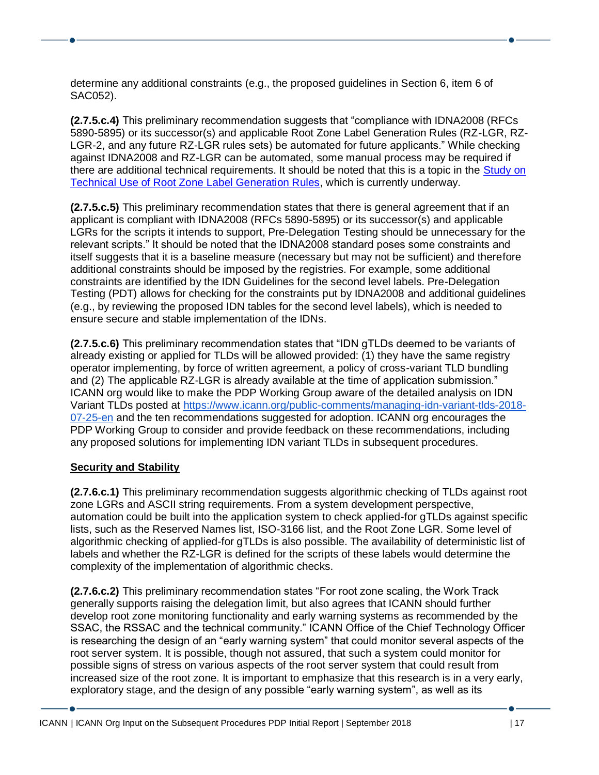determine any additional constraints (e.g., the proposed guidelines in Section 6, item 6 of SAC052).

**(2.7.5.c.4)** This preliminary recommendation suggests that "compliance with IDNA2008 (RFCs 5890-5895) or its successor(s) and applicable Root Zone Label Generation Rules (RZ-LGR, RZ-LGR-2, and any future RZ-LGR rules sets) be automated for future applicants." While checking against IDNA2008 and RZ-LGR can be automated, some manual process may be required if there are additional technical requirements. It should be noted that this is a topic in the [Study on](https://www.icann.org/public-comments/technical-rz-lgr-2018-08-02-en)  [Technical Use of Root Zone Label Generation Rules,](https://www.icann.org/public-comments/technical-rz-lgr-2018-08-02-en) which is currently underway.

**(2.7.5.c.5)** This preliminary recommendation states that there is general agreement that if an applicant is compliant with IDNA2008 (RFCs 5890-5895) or its successor(s) and applicable LGRs for the scripts it intends to support, Pre-Delegation Testing should be unnecessary for the relevant scripts." It should be noted that the IDNA2008 standard poses some constraints and itself suggests that it is a baseline measure (necessary but may not be sufficient) and therefore additional constraints should be imposed by the registries. For example, some additional constraints are identified by the IDN Guidelines for the second level labels. Pre-Delegation Testing (PDT) allows for checking for the constraints put by IDNA2008 and additional guidelines (e.g., by reviewing the proposed IDN tables for the second level labels), which is needed to ensure secure and stable implementation of the IDNs.

**(2.7.5.c.6)** This preliminary recommendation states that "IDN gTLDs deemed to be variants of already existing or applied for TLDs will be allowed provided: (1) they have the same registry operator implementing, by force of written agreement, a policy of cross-variant TLD bundling and (2) The applicable RZ-LGR is already available at the time of application submission." ICANN org would like to make the PDP Working Group aware of the detailed analysis on IDN Variant TLDs posted at [https://www.icann.org/public-comments/managing-idn-variant-tlds-2018-](https://www.icann.org/public-comments/managing-idn-variant-tlds-2018-07-25-en) [07-25-en](https://www.icann.org/public-comments/managing-idn-variant-tlds-2018-07-25-en) and the ten recommendations suggested for adoption. ICANN org encourages the PDP Working Group to consider and provide feedback on these recommendations, including any proposed solutions for implementing IDN variant TLDs in subsequent procedures.

#### **Security and Stability**

**(2.7.6.c.1)** This preliminary recommendation suggests algorithmic checking of TLDs against root zone LGRs and ASCII string requirements. From a system development perspective, automation could be built into the application system to check applied-for gTLDs against specific lists, such as the Reserved Names list, ISO-3166 list, and the Root Zone LGR. Some level of algorithmic checking of applied-for gTLDs is also possible. The availability of deterministic list of labels and whether the RZ-LGR is defined for the scripts of these labels would determine the complexity of the implementation of algorithmic checks.

**(2.7.6.c.2)** This preliminary recommendation states "For root zone scaling, the Work Track generally supports raising the delegation limit, but also agrees that ICANN should further develop root zone monitoring functionality and early warning systems as recommended by the SSAC, the RSSAC and the technical community." ICANN Office of the Chief Technology Officer is researching the design of an "early warning system" that could monitor several aspects of the root server system. It is possible, though not assured, that such a system could monitor for possible signs of stress on various aspects of the root server system that could result from increased size of the root zone. It is important to emphasize that this research is in a very early, exploratory stage, and the design of any possible "early warning system", as well as its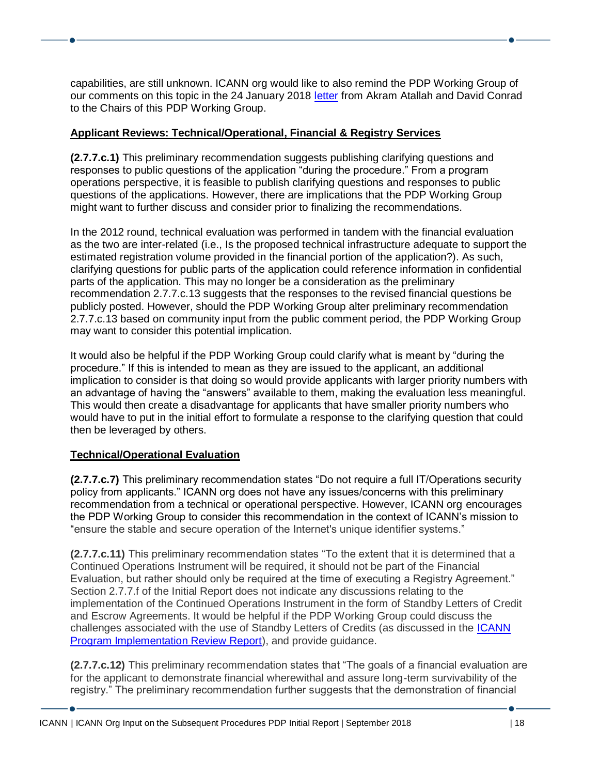capabilities, are still unknown. ICANN org would like to also remind the PDP Working Group of our comments on this topic in the 24 January 2018 [letter](https://www.icann.org/en/system/files/correspondence/conrad-atallah-to-neuman-langdon-orr-24jan18-en.pdf) from Akram Atallah and David Conrad to the Chairs of this PDP Working Group.

## **Applicant Reviews: Technical/Operational, Financial & Registry Services**

**(2.7.7.c.1)** This preliminary recommendation suggests publishing clarifying questions and responses to public questions of the application "during the procedure." From a program operations perspective, it is feasible to publish clarifying questions and responses to public questions of the applications. However, there are implications that the PDP Working Group might want to further discuss and consider prior to finalizing the recommendations.

In the 2012 round, technical evaluation was performed in tandem with the financial evaluation as the two are inter-related (i.e., Is the proposed technical infrastructure adequate to support the estimated registration volume provided in the financial portion of the application?). As such, clarifying questions for public parts of the application could reference information in confidential parts of the application. This may no longer be a consideration as the preliminary recommendation 2.7.7.c.13 suggests that the responses to the revised financial questions be publicly posted. However, should the PDP Working Group alter preliminary recommendation 2.7.7.c.13 based on community input from the public comment period, the PDP Working Group may want to consider this potential implication.

It would also be helpful if the PDP Working Group could clarify what is meant by "during the procedure." If this is intended to mean as they are issued to the applicant, an additional implication to consider is that doing so would provide applicants with larger priority numbers with an advantage of having the "answers" available to them, making the evaluation less meaningful. This would then create a disadvantage for applicants that have smaller priority numbers who would have to put in the initial effort to formulate a response to the clarifying question that could then be leveraged by others.

## **Technical/Operational Evaluation**

**(2.7.7.c.7)** This preliminary recommendation states "Do not require a full IT/Operations security policy from applicants." ICANN org does not have any issues/concerns with this preliminary recommendation from a technical or operational perspective. However, ICANN org encourages the PDP Working Group to consider this recommendation in the context of ICANN's mission to "ensure the stable and secure operation of the Internet's unique identifier systems."

**(2.7.7.c.11)** This preliminary recommendation states "To the extent that it is determined that a Continued Operations Instrument will be required, it should not be part of the Financial Evaluation, but rather should only be required at the time of executing a Registry Agreement." Section 2.7.7.f of the Initial Report does not indicate any discussions relating to the implementation of the Continued Operations Instrument in the form of Standby Letters of Credit and Escrow Agreements. It would be helpful if the PDP Working Group could discuss the challenges associated with the use of Standby Letters of Credits (as discussed in the [ICANN](https://www.icann.org/en/system/files/files/program-review-29jan16-en.pdf)  [Program Implementation Review Report\)](https://www.icann.org/en/system/files/files/program-review-29jan16-en.pdf), and provide guidance.

**(2.7.7.c.12)** This preliminary recommendation states that "The goals of a financial evaluation are for the applicant to demonstrate financial wherewithal and assure long-term survivability of the registry." The preliminary recommendation further suggests that the demonstration of financial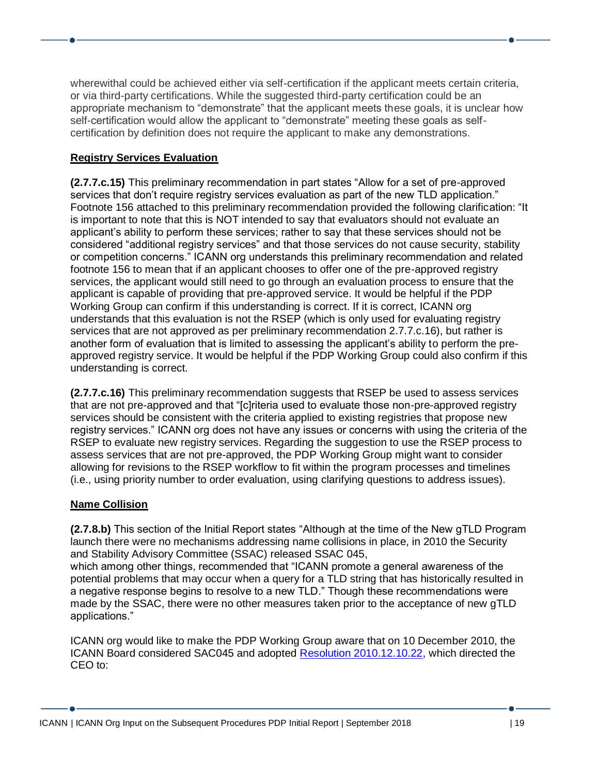wherewithal could be achieved either via self-certification if the applicant meets certain criteria, or via third-party certifications. While the suggested third-party certification could be an appropriate mechanism to "demonstrate" that the applicant meets these goals, it is unclear how self-certification would allow the applicant to "demonstrate" meeting these goals as selfcertification by definition does not require the applicant to make any demonstrations.

## **Registry Services Evaluation**

**(2.7.7.c.15)** This preliminary recommendation in part states "Allow for a set of pre-approved services that don't require registry services evaluation as part of the new TLD application." Footnote 156 attached to this preliminary recommendation provided the following clarification: "It is important to note that this is NOT intended to say that evaluators should not evaluate an applicant's ability to perform these services; rather to say that these services should not be considered "additional registry services" and that those services do not cause security, stability or competition concerns." ICANN org understands this preliminary recommendation and related footnote 156 to mean that if an applicant chooses to offer one of the pre-approved registry services, the applicant would still need to go through an evaluation process to ensure that the applicant is capable of providing that pre-approved service. It would be helpful if the PDP Working Group can confirm if this understanding is correct. If it is correct, ICANN org understands that this evaluation is not the RSEP (which is only used for evaluating registry services that are not approved as per preliminary recommendation 2.7.7.c.16), but rather is another form of evaluation that is limited to assessing the applicant's ability to perform the preapproved registry service. It would be helpful if the PDP Working Group could also confirm if this understanding is correct.

**(2.7.7.c.16)** This preliminary recommendation suggests that RSEP be used to assess services that are not pre-approved and that "[c]riteria used to evaluate those non-pre-approved registry services should be consistent with the criteria applied to existing registries that propose new registry services." ICANN org does not have any issues or concerns with using the criteria of the RSEP to evaluate new registry services. Regarding the suggestion to use the RSEP process to assess services that are not pre-approved, the PDP Working Group might want to consider allowing for revisions to the RSEP workflow to fit within the program processes and timelines (i.e., using priority number to order evaluation, using clarifying questions to address issues).

#### **Name Collision**

**(2.7.8.b)** This section of the Initial Report states "Although at the time of the New gTLD Program launch there were no mechanisms addressing name collisions in place, in 2010 the Security and Stability Advisory Committee (SSAC) released SSAC 045,

which among other things, recommended that "ICANN promote a general awareness of the potential problems that may occur when a query for a TLD string that has historically resulted in a negative response begins to resolve to a new TLD." Though these recommendations were made by the SSAC, there were no other measures taken prior to the acceptance of new gTLD applications."

ICANN org would like to make the PDP Working Group aware that on 10 December 2010, the ICANN Board considered SAC045 and adopted [Resolution 2010.12.10.22,](https://www.icann.org/resources/board-material/resolutions-2010-12-10-en#3.)) which directed the CEO to: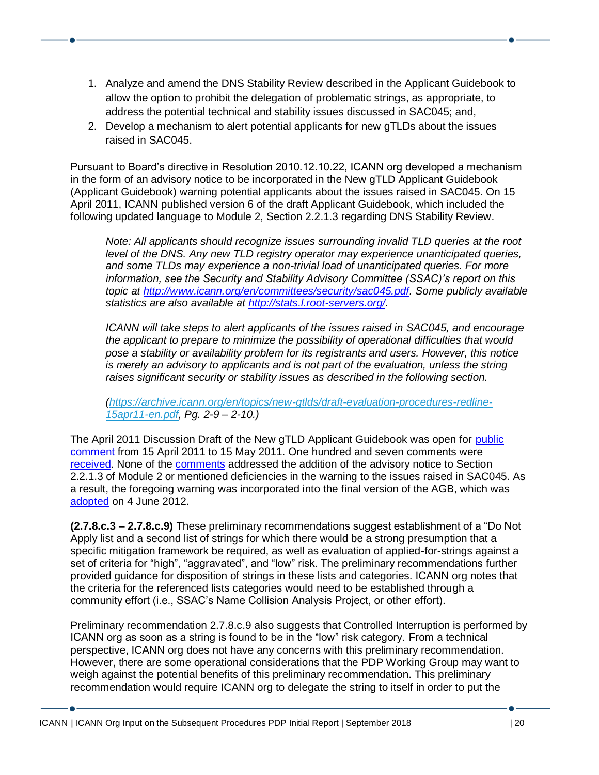- 1. Analyze and amend the DNS Stability Review described in the Applicant Guidebook to allow the option to prohibit the delegation of problematic strings, as appropriate, to address the potential technical and stability issues discussed in SAC045; and,
- 2. Develop a mechanism to alert potential applicants for new gTLDs about the issues raised in SAC045.

Pursuant to Board's directive in Resolution 2010.12.10.22, ICANN org developed a mechanism in the form of an advisory notice to be incorporated in the New gTLD Applicant Guidebook (Applicant Guidebook) warning potential applicants about the issues raised in SAC045. On 15 April 2011, ICANN published version 6 of the draft Applicant Guidebook, which included the following updated language to Module 2, Section 2.2.1.3 regarding DNS Stability Review.

*Note: All applicants should recognize issues surrounding invalid TLD queries at the root level of the DNS. Any new TLD registry operator may experience unanticipated queries, and some TLDs may experience a non-trivial load of unanticipated queries. For more information, see the Security and Stability Advisory Committee (SSAC)'s report on this topic at [http://www.icann.org/en/committees/security/sac045.pdf.](http://www.icann.org/en/committees/security/sac045.pdf) Some publicly available statistics are also available at [http://stats.l.root-servers.org/.](http://stats.l.root-servers.org/)*

*ICANN will take steps to alert applicants of the issues raised in SAC045, and encourage the applicant to prepare to minimize the possibility of operational difficulties that would pose a stability or availability problem for its registrants and users. However, this notice is merely an advisory to applicants and is not part of the evaluation, unless the string raises significant security or stability issues as described in the following section.*

*[\(https://archive.icann.org/en/topics/new-gtlds/draft-evaluation-procedures-redline-](https://archive.icann.org/en/topics/new-gtlds/draft-evaluation-procedures-redline-15apr11-en.pdf)[15apr11-en.pdf,](https://archive.icann.org/en/topics/new-gtlds/draft-evaluation-procedures-redline-15apr11-en.pdf) Pg. 2-9 – 2-10.)* 

The April 2011 Discussion Draft of the New gTLD Applicant Guidebook was open for public [comment](https://www.icann.org/news/announcement-2-2011-04-15-en) from 15 April 2011 to 15 May 2011. One hundred and seven comments were [received.](https://archive.icann.org/en/topics/new-gtlds/comments-6-en.htm) None of the [comments](https://archive.icann.org/en/topics/new-gtlds/summary-analysis-agv6-30may11-en.pdf) addressed the addition of the advisory notice to Section 2.2.1.3 of Module 2 or mentioned deficiencies in the warning to the issues raised in SAC045. As a result, the foregoing warning was incorporated into the final version of the AGB, which was [adopted](https://www.icann.org/resources/board-material/resolutions-2011-06-20-en;%20https:/newgtlds.icann.org/en/applicants/agb) on 4 June 2012.

**(2.7.8.c.3 – 2.7.8.c.9)** These preliminary recommendations suggest establishment of a "Do Not Apply list and a second list of strings for which there would be a strong presumption that a specific mitigation framework be required, as well as evaluation of applied-for-strings against a set of criteria for "high", "aggravated", and "low" risk. The preliminary recommendations further provided guidance for disposition of strings in these lists and categories. ICANN org notes that the criteria for the referenced lists categories would need to be established through a community effort (i.e., SSAC's Name Collision Analysis Project, or other effort).

Preliminary recommendation 2.7.8.c.9 also suggests that Controlled Interruption is performed by ICANN org as soon as a string is found to be in the "low" risk category. From a technical perspective, ICANN org does not have any concerns with this preliminary recommendation. However, there are some operational considerations that the PDP Working Group may want to weigh against the potential benefits of this preliminary recommendation. This preliminary recommendation would require ICANN org to delegate the string to itself in order to put the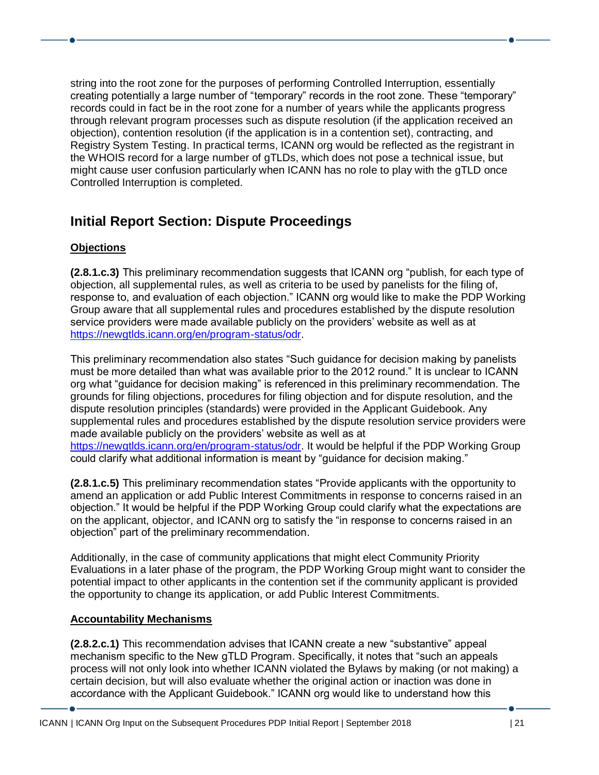string into the root zone for the purposes of performing Controlled Interruption, essentially creating potentially a large number of "temporary" records in the root zone. These "temporary" records could in fact be in the root zone for a number of years while the applicants progress through relevant program processes such as dispute resolution (if the application received an objection), contention resolution (if the application is in a contention set), contracting, and Registry System Testing. In practical terms, ICANN org would be reflected as the registrant in the WHOIS record for a large number of gTLDs, which does not pose a technical issue, but might cause user confusion particularly when ICANN has no role to play with the gTLD once Controlled Interruption is completed.

# **Initial Report Section: Dispute Proceedings**

## **Objections**

**(2.8.1.c.3)** This preliminary recommendation suggests that ICANN org "publish, for each type of objection, all supplemental rules, as well as criteria to be used by panelists for the filing of, response to, and evaluation of each objection." ICANN org would like to make the PDP Working Group aware that all supplemental rules and procedures established by the dispute resolution service providers were made available publicly on the providers' website as well as at [https://newgtlds.icann.org/en/program-status/odr.](https://newgtlds.icann.org/en/program-status/odr)

This preliminary recommendation also states "Such guidance for decision making by panelists must be more detailed than what was available prior to the 2012 round." It is unclear to ICANN org what "guidance for decision making" is referenced in this preliminary recommendation. The grounds for filing objections, procedures for filing objection and for dispute resolution, and the dispute resolution principles (standards) were provided in the Applicant Guidebook. Any supplemental rules and procedures established by the dispute resolution service providers were made available publicly on the providers' website as well as at [https://newgtlds.icann.org/en/program-status/odr.](https://newgtlds.icann.org/en/program-status/odr) It would be helpful if the PDP Working Group could clarify what additional information is meant by "guidance for decision making."

**(2.8.1.c.5)** This preliminary recommendation states "Provide applicants with the opportunity to amend an application or add Public Interest Commitments in response to concerns raised in an objection." It would be helpful if the PDP Working Group could clarify what the expectations are on the applicant, objector, and ICANN org to satisfy the "in response to concerns raised in an objection" part of the preliminary recommendation.

Additionally, in the case of community applications that might elect Community Priority Evaluations in a later phase of the program, the PDP Working Group might want to consider the potential impact to other applicants in the contention set if the community applicant is provided the opportunity to change its application, or add Public Interest Commitments.

## **Accountability Mechanisms**

**(2.8.2.c.1)** This recommendation advises that ICANN create a new "substantive" appeal mechanism specific to the New gTLD Program. Specifically, it notes that "such an appeals process will not only look into whether ICANN violated the Bylaws by making (or not making) a certain decision, but will also evaluate whether the original action or inaction was done in accordance with the Applicant Guidebook." ICANN org would like to understand how this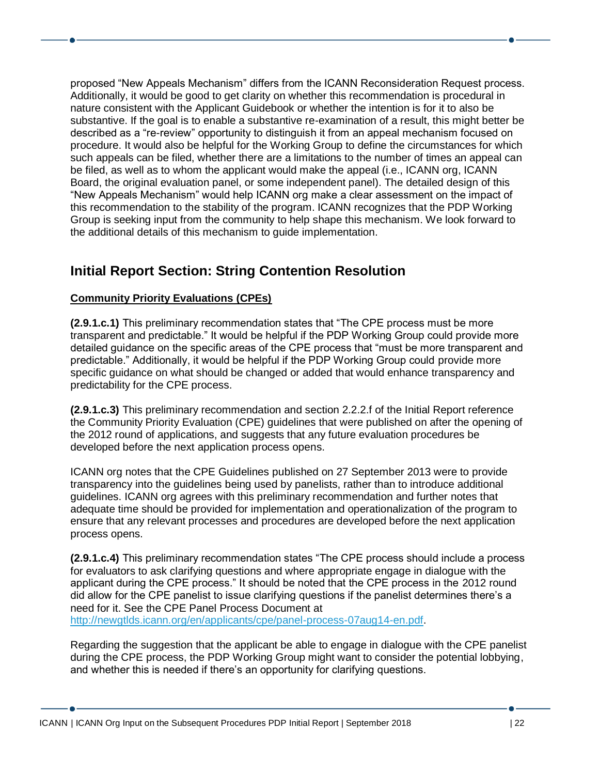proposed "New Appeals Mechanism" differs from the ICANN Reconsideration Request process. Additionally, it would be good to get clarity on whether this recommendation is procedural in nature consistent with the Applicant Guidebook or whether the intention is for it to also be substantive. If the goal is to enable a substantive re-examination of a result, this might better be described as a "re-review" opportunity to distinguish it from an appeal mechanism focused on procedure. It would also be helpful for the Working Group to define the circumstances for which such appeals can be filed, whether there are a limitations to the number of times an appeal can be filed, as well as to whom the applicant would make the appeal (i.e., ICANN org, ICANN Board, the original evaluation panel, or some independent panel). The detailed design of this "New Appeals Mechanism" would help ICANN org make a clear assessment on the impact of this recommendation to the stability of the program. ICANN recognizes that the PDP Working Group is seeking input from the community to help shape this mechanism. We look forward to the additional details of this mechanism to guide implementation.

# **Initial Report Section: String Contention Resolution**

## **Community Priority Evaluations (CPEs)**

**(2.9.1.c.1)** This preliminary recommendation states that "The CPE process must be more transparent and predictable." It would be helpful if the PDP Working Group could provide more detailed guidance on the specific areas of the CPE process that "must be more transparent and predictable." Additionally, it would be helpful if the PDP Working Group could provide more specific guidance on what should be changed or added that would enhance transparency and predictability for the CPE process.

**(2.9.1.c.3)** This preliminary recommendation and section 2.2.2.f of the Initial Report reference the Community Priority Evaluation (CPE) guidelines that were published on after the opening of the 2012 round of applications, and suggests that any future evaluation procedures be developed before the next application process opens.

ICANN org notes that the CPE Guidelines published on 27 September 2013 were to provide transparency into the guidelines being used by panelists, rather than to introduce additional guidelines. ICANN org agrees with this preliminary recommendation and further notes that adequate time should be provided for implementation and operationalization of the program to ensure that any relevant processes and procedures are developed before the next application process opens.

**(2.9.1.c.4)** This preliminary recommendation states "The CPE process should include a process for evaluators to ask clarifying questions and where appropriate engage in dialogue with the applicant during the CPE process." It should be noted that the CPE process in the 2012 round did allow for the CPE panelist to issue clarifying questions if the panelist determines there's a need for it. See the CPE Panel Process Document at [http://newgtlds.icann.org/en/applicants/cpe/panel-process-07aug14-en.pdf.](http://newgtlds.icann.org/en/applicants/cpe/panel-process-07aug14-en.pdf)

Regarding the suggestion that the applicant be able to engage in dialogue with the CPE panelist during the CPE process, the PDP Working Group might want to consider the potential lobbying, and whether this is needed if there's an opportunity for clarifying questions.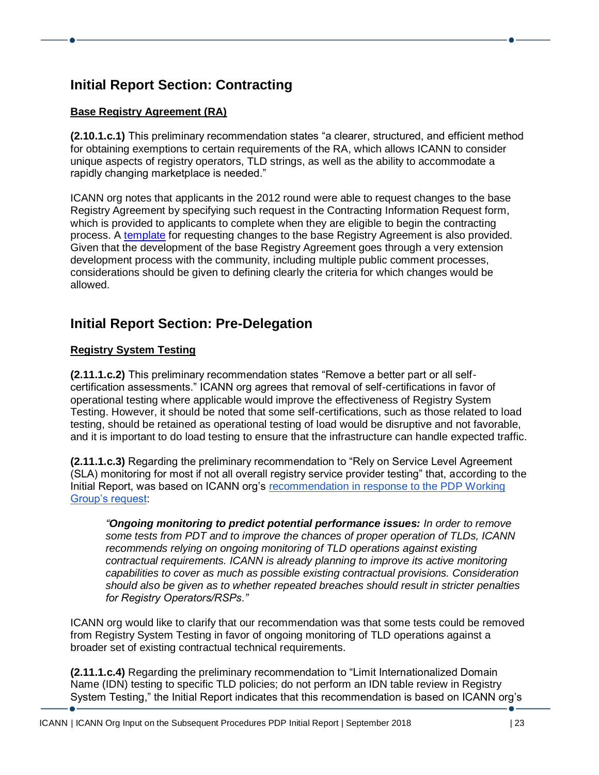# **Initial Report Section: Contracting**

## **Base Registry Agreement (RA)**

**(2.10.1.c.1)** This preliminary recommendation states "a clearer, structured, and efficient method for obtaining exemptions to certain requirements of the RA, which allows ICANN to consider unique aspects of registry operators, TLD strings, as well as the ability to accommodate a rapidly changing marketplace is needed."

ICANN org notes that applicants in the 2012 round were able to request changes to the base Registry Agreement by specifying such request in the Contracting Information Request form, which is provided to applicants to complete when they are eligible to begin the contracting process. A [template](https://newgtlds.icann.org/en/applicants/agb/base-agreement-requested-edits-08jan14-en.docx) for requesting changes to the base Registry Agreement is also provided. Given that the development of the base Registry Agreement goes through a very extension development process with the community, including multiple public comment processes, considerations should be given to defining clearly the criteria for which changes would be allowed.

## **Initial Report Section: Pre-Delegation**

## **Registry System Testing**

**(2.11.1.c.2)** This preliminary recommendation states "Remove a better part or all selfcertification assessments." ICANN org agrees that removal of self-certifications in favor of operational testing where applicable would improve the effectiveness of Registry System Testing. However, it should be noted that some self-certifications, such as those related to load testing, should be retained as operational testing of load would be disruptive and not favorable, and it is important to do load testing to ensure that the infrastructure can handle expected traffic.

**(2.11.1.c.3)** Regarding the preliminary recommendation to "Rely on Service Level Agreement (SLA) monitoring for most if not all overall registry service provider testing" that, according to the Initial Report, was based on ICANN org's [recommendation](https://mm.icann.org/pipermail/gnso-newgtld-wg-wt4/2017-July/000113.html) in response to the PDP Working Group's request:

*"Ongoing monitoring to predict potential performance issues: In order to remove some tests from PDT and to improve the chances of proper operation of TLDs, ICANN recommends relying on ongoing monitoring of TLD operations against existing contractual requirements. ICANN is already planning to improve its active monitoring capabilities to cover as much as possible existing contractual provisions. Consideration should also be given as to whether repeated breaches should result in stricter penalties for Registry Operators/RSPs."*

ICANN org would like to clarify that our recommendation was that some tests could be removed from Registry System Testing in favor of ongoing monitoring of TLD operations against a broader set of existing contractual technical requirements.

**(2.11.1.c.4)** Regarding the preliminary recommendation to "Limit Internationalized Domain Name (IDN) testing to specific TLD policies; do not perform an IDN table review in Registry System Testing," the Initial Report indicates that this recommendation is based on ICANN org's